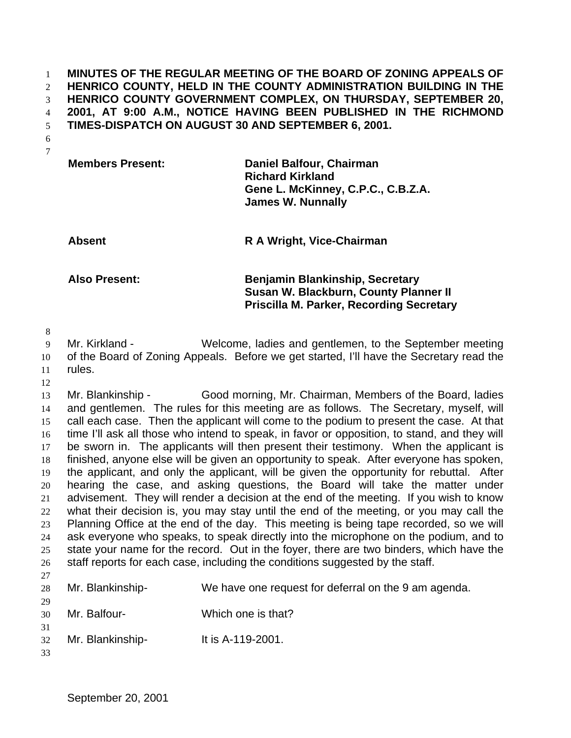**MINUTES OF THE REGULAR MEETING OF THE BOARD OF ZONING APPEALS OF HENRICO COUNTY, HELD IN THE COUNTY ADMINISTRATION BUILDING IN THE HENRICO COUNTY GOVERNMENT COMPLEX, ON THURSDAY, SEPTEMBER 20, 2001, AT 9:00 A.M., NOTICE HAVING BEEN PUBLISHED IN THE RICHMOND TIMES-DISPATCH ON AUGUST 30 AND SEPTEMBER 6, 2001.**

 

| <b>Members Present:</b> | Daniel Balfour, Chairman<br><b>Richard Kirkland</b>            |
|-------------------------|----------------------------------------------------------------|
|                         | Gene L. McKinney, C.P.C., C.B.Z.A.<br><b>James W. Nunnally</b> |

**Absent R A Wright, Vice-Chairman**

**Also Present: Benjamin Blankinship, Secretary Susan W. Blackburn, County Planner II Priscilla M. Parker, Recording Secretary**

 Mr. Kirkland - Welcome, ladies and gentlemen, to the September meeting of the Board of Zoning Appeals. Before we get started, I'll have the Secretary read the rules.

 Mr. Blankinship - Good morning, Mr. Chairman, Members of the Board, ladies and gentlemen. The rules for this meeting are as follows. The Secretary, myself, will call each case. Then the applicant will come to the podium to present the case. At that time I'll ask all those who intend to speak, in favor or opposition, to stand, and they will be sworn in. The applicants will then present their testimony. When the applicant is finished, anyone else will be given an opportunity to speak. After everyone has spoken, the applicant, and only the applicant, will be given the opportunity for rebuttal. After hearing the case, and asking questions, the Board will take the matter under advisement. They will render a decision at the end of the meeting. If you wish to know what their decision is, you may stay until the end of the meeting, or you may call the Planning Office at the end of the day. This meeting is being tape recorded, so we will ask everyone who speaks, to speak directly into the microphone on the podium, and to state your name for the record. Out in the foyer, there are two binders, which have the 26 staff reports for each case, including the conditions suggested by the staff. 

| 28             | Mr. Blankinship- | We have one request for deferral on the 9 am agenda. |
|----------------|------------------|------------------------------------------------------|
| 29<br>30       | Mr. Balfour-     | Which one is that?                                   |
| 31<br>32<br>33 | Mr. Blankinship- | It is A-119-2001.                                    |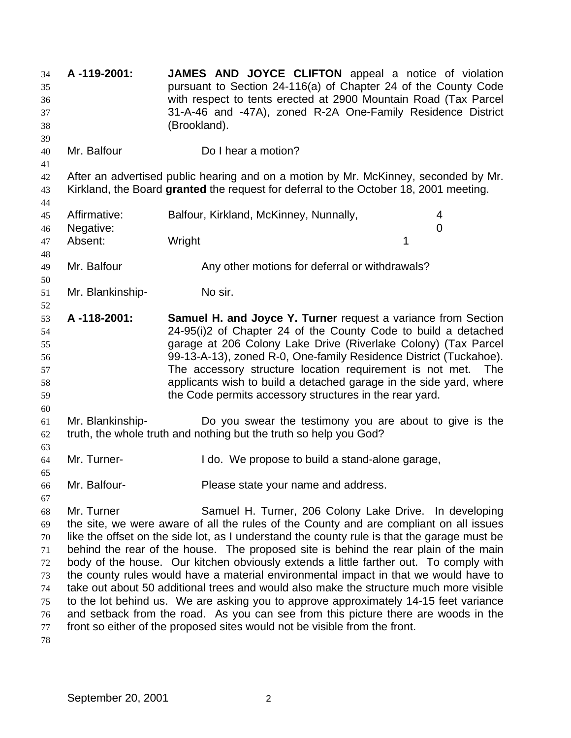| 34<br>35<br>36<br>37<br>38<br>39                                   | A-119-2001:                                                                                                                                                                                                                                                                                                                                                                                                                                                                                                                                                                                                                                                                                                                                                                                                                                                                                  | JAMES AND JOYCE CLIFTON appeal a notice of violation<br>pursuant to Section 24-116(a) of Chapter 24 of the County Code<br>with respect to tents erected at 2900 Mountain Road (Tax Parcel<br>31-A-46 and -47A), zoned R-2A One-Family Residence District<br>(Brookland).                                                                                                                                                                                                |  |
|--------------------------------------------------------------------|----------------------------------------------------------------------------------------------------------------------------------------------------------------------------------------------------------------------------------------------------------------------------------------------------------------------------------------------------------------------------------------------------------------------------------------------------------------------------------------------------------------------------------------------------------------------------------------------------------------------------------------------------------------------------------------------------------------------------------------------------------------------------------------------------------------------------------------------------------------------------------------------|-------------------------------------------------------------------------------------------------------------------------------------------------------------------------------------------------------------------------------------------------------------------------------------------------------------------------------------------------------------------------------------------------------------------------------------------------------------------------|--|
| 40<br>41                                                           | Mr. Balfour                                                                                                                                                                                                                                                                                                                                                                                                                                                                                                                                                                                                                                                                                                                                                                                                                                                                                  | Do I hear a motion?                                                                                                                                                                                                                                                                                                                                                                                                                                                     |  |
| 42<br>43<br>44                                                     |                                                                                                                                                                                                                                                                                                                                                                                                                                                                                                                                                                                                                                                                                                                                                                                                                                                                                              | After an advertised public hearing and on a motion by Mr. McKinney, seconded by Mr.<br>Kirkland, the Board granted the request for deferral to the October 18, 2001 meeting.                                                                                                                                                                                                                                                                                            |  |
| 45<br>46                                                           | Affirmative:<br>Negative:                                                                                                                                                                                                                                                                                                                                                                                                                                                                                                                                                                                                                                                                                                                                                                                                                                                                    | Balfour, Kirkland, McKinney, Nunnally,<br>4<br>0                                                                                                                                                                                                                                                                                                                                                                                                                        |  |
| 47<br>48                                                           | Absent:                                                                                                                                                                                                                                                                                                                                                                                                                                                                                                                                                                                                                                                                                                                                                                                                                                                                                      | Wright<br>1                                                                                                                                                                                                                                                                                                                                                                                                                                                             |  |
| 49<br>50                                                           | Mr. Balfour                                                                                                                                                                                                                                                                                                                                                                                                                                                                                                                                                                                                                                                                                                                                                                                                                                                                                  | Any other motions for deferral or withdrawals?                                                                                                                                                                                                                                                                                                                                                                                                                          |  |
| 51<br>52                                                           | Mr. Blankinship-                                                                                                                                                                                                                                                                                                                                                                                                                                                                                                                                                                                                                                                                                                                                                                                                                                                                             | No sir.                                                                                                                                                                                                                                                                                                                                                                                                                                                                 |  |
| 53<br>54<br>55<br>56<br>57<br>58<br>59<br>60                       | A-118-2001:                                                                                                                                                                                                                                                                                                                                                                                                                                                                                                                                                                                                                                                                                                                                                                                                                                                                                  | Samuel H. and Joyce Y. Turner request a variance from Section<br>24-95(i)2 of Chapter 24 of the County Code to build a detached<br>garage at 206 Colony Lake Drive (Riverlake Colony) (Tax Parcel<br>99-13-A-13), zoned R-0, One-family Residence District (Tuckahoe).<br>The accessory structure location requirement is not met. The<br>applicants wish to build a detached garage in the side yard, where<br>the Code permits accessory structures in the rear yard. |  |
| 61<br>62<br>63                                                     | Mr. Blankinship-                                                                                                                                                                                                                                                                                                                                                                                                                                                                                                                                                                                                                                                                                                                                                                                                                                                                             | Do you swear the testimony you are about to give is the<br>truth, the whole truth and nothing but the truth so help you God?                                                                                                                                                                                                                                                                                                                                            |  |
| 64<br>65                                                           | Mr. Turner-                                                                                                                                                                                                                                                                                                                                                                                                                                                                                                                                                                                                                                                                                                                                                                                                                                                                                  | I do. We propose to build a stand-alone garage,                                                                                                                                                                                                                                                                                                                                                                                                                         |  |
| 66<br>67                                                           | Mr. Balfour-                                                                                                                                                                                                                                                                                                                                                                                                                                                                                                                                                                                                                                                                                                                                                                                                                                                                                 | Please state your name and address.                                                                                                                                                                                                                                                                                                                                                                                                                                     |  |
| 68<br>69<br>$70\,$<br>71<br>72<br>73<br>74<br>75<br>76<br>77<br>78 | Mr. Turner<br>Samuel H. Turner, 206 Colony Lake Drive. In developing<br>the site, we were aware of all the rules of the County and are compliant on all issues<br>like the offset on the side lot, as I understand the county rule is that the garage must be<br>behind the rear of the house. The proposed site is behind the rear plain of the main<br>body of the house. Our kitchen obviously extends a little farther out. To comply with<br>the county rules would have a material environmental impact in that we would have to<br>take out about 50 additional trees and would also make the structure much more visible<br>to the lot behind us. We are asking you to approve approximately 14-15 feet variance<br>and setback from the road. As you can see from this picture there are woods in the<br>front so either of the proposed sites would not be visible from the front. |                                                                                                                                                                                                                                                                                                                                                                                                                                                                         |  |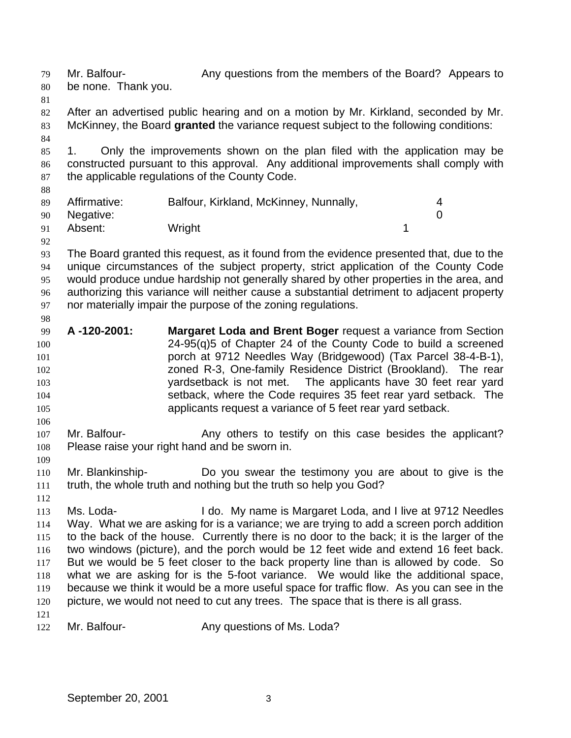Mr. Balfour- Any questions from the members of the Board? Appears to be none. Thank you. After an advertised public hearing and on a motion by Mr. Kirkland, seconded by Mr. McKinney, the Board **granted** the variance request subject to the following conditions: 1. Only the improvements shown on the plan filed with the application may be constructed pursuant to this approval. Any additional improvements shall comply with the applicable regulations of the County Code. Affirmative: Balfour, Kirkland, McKinney, Nunnally, 4 Negative: 0 91 Absent: Wright 1 The Board granted this request, as it found from the evidence presented that, due to the unique circumstances of the subject property, strict application of the County Code would produce undue hardship not generally shared by other properties in the area, and authorizing this variance will neither cause a substantial detriment to adjacent property nor materially impair the purpose of the zoning regulations. **A -120-2001: Margaret Loda and Brent Boger** request a variance from Section 24-95(q)5 of Chapter 24 of the County Code to build a screened porch at 9712 Needles Way (Bridgewood) (Tax Parcel 38-4-B-1), zoned R-3, One-family Residence District (Brookland). The rear yardsetback is not met. The applicants have 30 feet rear yard setback, where the Code requires 35 feet rear yard setback. The applicants request a variance of 5 feet rear yard setback. 107 Mr. Balfour- **Any others to testify on this case besides the applicant?**  Please raise your right hand and be sworn in. Mr. Blankinship- Do you swear the testimony you are about to give is the truth, the whole truth and nothing but the truth so help you God? Ms. Loda- I do. My name is Margaret Loda, and I live at 9712 Needles Way. What we are asking for is a variance; we are trying to add a screen porch addition 115 to the back of the house. Currently there is no door to the back; it is the larger of the two windows (picture), and the porch would be 12 feet wide and extend 16 feet back. But we would be 5 feet closer to the back property line than is allowed by code. So what we are asking for is the 5-foot variance. We would like the additional space, because we think it would be a more useful space for traffic flow. As you can see in the 120 picture, we would not need to cut any trees. The space that is there is all grass. 122 Mr. Balfour- **Any questions of Ms. Loda?**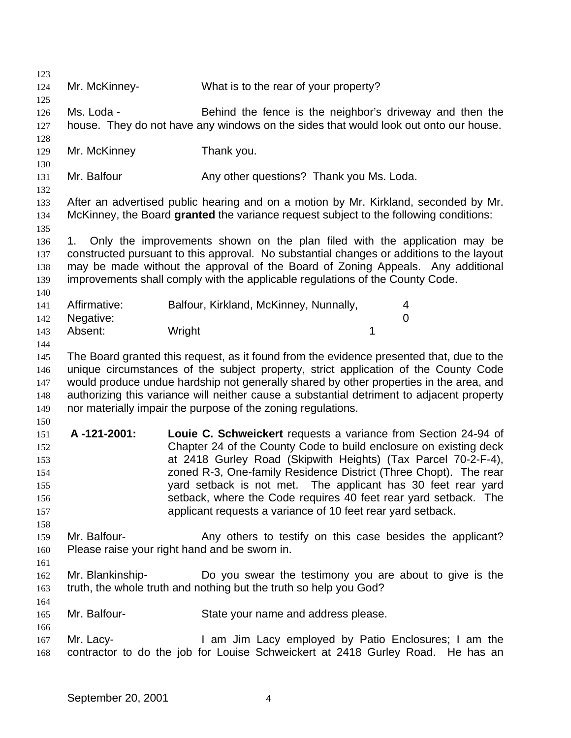Mr. McKinney- What is to the rear of your property? Ms. Loda - Behind the fence is the neighbor's driveway and then the house. They do not have any windows on the sides that would look out onto our house. Mr. McKinney Thank you. 131 Mr. Balfour **Any other questions?** Thank you Ms. Loda. After an advertised public hearing and on a motion by Mr. Kirkland, seconded by Mr. McKinney, the Board **granted** the variance request subject to the following conditions: 1. Only the improvements shown on the plan filed with the application may be constructed pursuant to this approval. No substantial changes or additions to the layout may be made without the approval of the Board of Zoning Appeals. Any additional improvements shall comply with the applicable regulations of the County Code. Affirmative: Balfour, Kirkland, McKinney, Nunnally, 4 Negative: 0 143 Absent: Wright 1 The Board granted this request, as it found from the evidence presented that, due to the unique circumstances of the subject property, strict application of the County Code would produce undue hardship not generally shared by other properties in the area, and authorizing this variance will neither cause a substantial detriment to adjacent property nor materially impair the purpose of the zoning regulations. **A -121-2001: Louie C. Schweickert** requests a variance from Section 24-94 of Chapter 24 of the County Code to build enclosure on existing deck at 2418 Gurley Road (Skipwith Heights) (Tax Parcel 70-2-F-4), zoned R-3, One-family Residence District (Three Chopt). The rear yard setback is not met. The applicant has 30 feet rear yard setback, where the Code requires 40 feet rear yard setback. The applicant requests a variance of 10 feet rear yard setback. 159 Mr. Balfour- **Any others to testify on this case besides the applicant?**  Please raise your right hand and be sworn in. Mr. Blankinship- Do you swear the testimony you are about to give is the truth, the whole truth and nothing but the truth so help you God? Mr. Balfour- State your name and address please. Mr. Lacy- I am Jim Lacy employed by Patio Enclosures; I am the contractor to do the job for Louise Schweickert at 2418 Gurley Road. He has an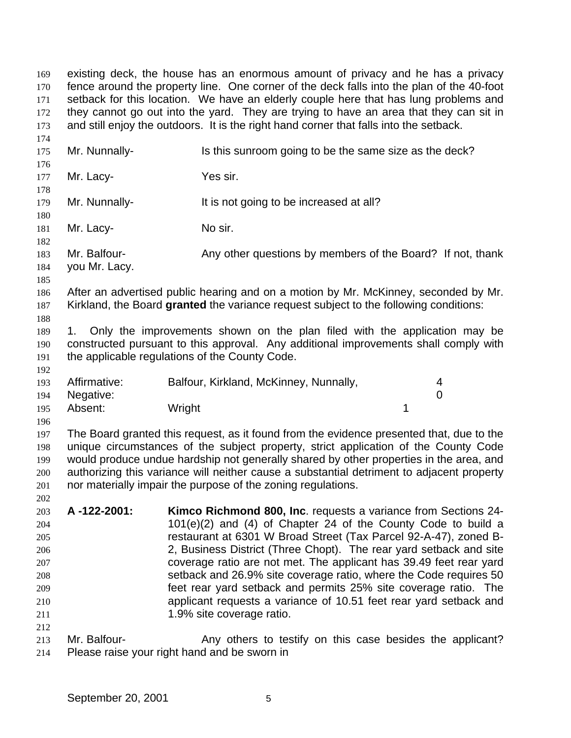existing deck, the house has an enormous amount of privacy and he has a privacy fence around the property line. One corner of the deck falls into the plan of the 40-foot 171 setback for this location. We have an elderly couple here that has lung problems and 172 they cannot go out into the yard. They are trying to have an area that they can sit in and still enjoy the outdoors. It is the right hand corner that falls into the setback. 175 Mr. Nunnally- Is this sunroom going to be the same size as the deck? 177 Mr. Lacy- Yes sir. 179 Mr. Nunnally-<br>It is not going to be increased at all? 181 Mr. Lacy- No sir. Mr. Balfour- Any other questions by members of the Board? If not, thank you Mr. Lacy. After an advertised public hearing and on a motion by Mr. McKinney, seconded by Mr. Kirkland, the Board **granted** the variance request subject to the following conditions: 1. Only the improvements shown on the plan filed with the application may be constructed pursuant to this approval. Any additional improvements shall comply with the applicable regulations of the County Code. Affirmative: Balfour, Kirkland, McKinney, Nunnally, 4 Negative: 0 195 Absent: Wright 1 The Board granted this request, as it found from the evidence presented that, due to the unique circumstances of the subject property, strict application of the County Code would produce undue hardship not generally shared by other properties in the area, and authorizing this variance will neither cause a substantial detriment to adjacent property nor materially impair the purpose of the zoning regulations. **A -122-2001: Kimco Richmond 800, Inc**. requests a variance from Sections 24- 101(e)(2) and (4) of Chapter 24 of the County Code to build a restaurant at 6301 W Broad Street (Tax Parcel 92-A-47), zoned B- 2, Business District (Three Chopt). The rear yard setback and site coverage ratio are not met. The applicant has 39.49 feet rear yard setback and 26.9% site coverage ratio, where the Code requires 50 feet rear yard setback and permits 25% site coverage ratio. The applicant requests a variance of 10.51 feet rear yard setback and 211 211 213 Mr. Balfour- **Any others to testify on this case besides the applicant?** Please raise your right hand and be sworn in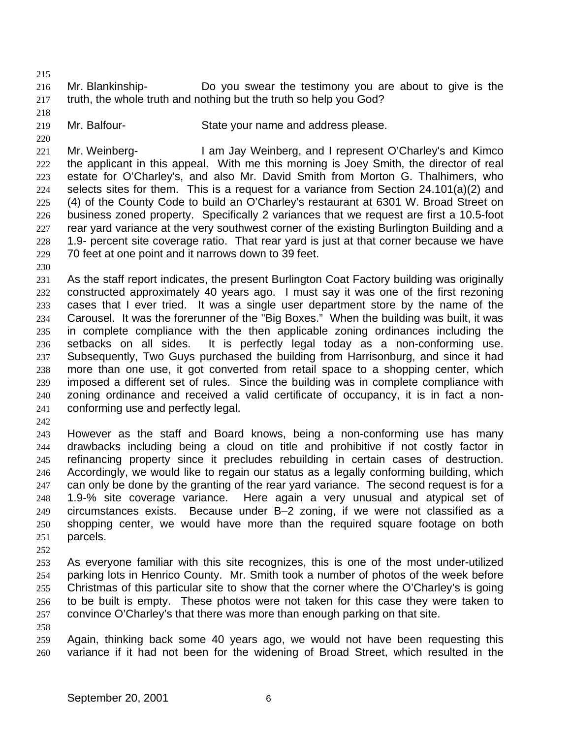Mr. Blankinship- Do you swear the testimony you are about to give is the truth, the whole truth and nothing but the truth so help you God?

- 
- Mr. Balfour- State your name and address please.

 Mr. Weinberg- I am Jay Weinberg, and I represent O'Charley's and Kimco the applicant in this appeal. With me this morning is Joey Smith, the director of real estate for O'Charley's, and also Mr. David Smith from Morton G. Thalhimers, who selects sites for them. This is a request for a variance from Section 24.101(a)(2) and (4) of the County Code to build an O'Charley's restaurant at 6301 W. Broad Street on business zoned property. Specifically 2 variances that we request are first a 10.5-foot rear yard variance at the very southwest corner of the existing Burlington Building and a 1.9- percent site coverage ratio. That rear yard is just at that corner because we have 70 feet at one point and it narrows down to 39 feet.

 As the staff report indicates, the present Burlington Coat Factory building was originally constructed approximately 40 years ago. I must say it was one of the first rezoning cases that I ever tried. It was a single user department store by the name of the Carousel. It was the forerunner of the "Big Boxes." When the building was built, it was in complete compliance with the then applicable zoning ordinances including the setbacks on all sides. It is perfectly legal today as a non-conforming use. Subsequently, Two Guys purchased the building from Harrisonburg, and since it had more than one use, it got converted from retail space to a shopping center, which imposed a different set of rules. Since the building was in complete compliance with zoning ordinance and received a valid certificate of occupancy, it is in fact a non-conforming use and perfectly legal.

 However as the staff and Board knows, being a non-conforming use has many drawbacks including being a cloud on title and prohibitive if not costly factor in refinancing property since it precludes rebuilding in certain cases of destruction. Accordingly, we would like to regain our status as a legally conforming building, which 247 can only be done by the granting of the rear yard variance. The second request is for a 1.9-% site coverage variance. Here again a very unusual and atypical set of circumstances exists. Because under B–2 zoning, if we were not classified as a shopping center, we would have more than the required square footage on both parcels.

 As everyone familiar with this site recognizes, this is one of the most under-utilized parking lots in Henrico County. Mr. Smith took a number of photos of the week before Christmas of this particular site to show that the corner where the O'Charley's is going to be built is empty. These photos were not taken for this case they were taken to convince O'Charley's that there was more than enough parking on that site.

 Again, thinking back some 40 years ago, we would not have been requesting this variance if it had not been for the widening of Broad Street, which resulted in the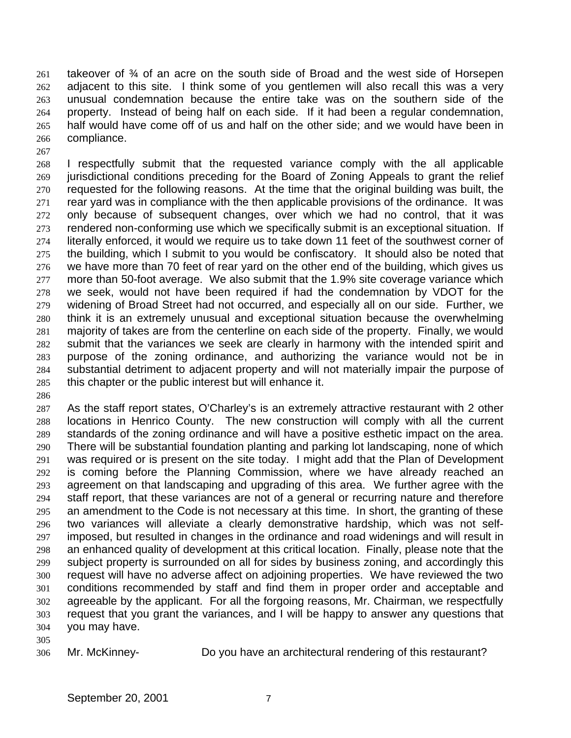takeover of  $\frac{3}{4}$  of an acre on the south side of Broad and the west side of Horsepen adjacent to this site. I think some of you gentlemen will also recall this was a very unusual condemnation because the entire take was on the southern side of the property. Instead of being half on each side. If it had been a regular condemnation, half would have come off of us and half on the other side; and we would have been in compliance.

 I respectfully submit that the requested variance comply with the all applicable jurisdictional conditions preceding for the Board of Zoning Appeals to grant the relief requested for the following reasons. At the time that the original building was built, the rear yard was in compliance with the then applicable provisions of the ordinance. It was only because of subsequent changes, over which we had no control, that it was rendered non-conforming use which we specifically submit is an exceptional situation. If literally enforced, it would we require us to take down 11 feet of the southwest corner of the building, which I submit to you would be confiscatory. It should also be noted that we have more than 70 feet of rear yard on the other end of the building, which gives us more than 50-foot average. We also submit that the 1.9% site coverage variance which we seek, would not have been required if had the condemnation by VDOT for the widening of Broad Street had not occurred, and especially all on our side. Further, we think it is an extremely unusual and exceptional situation because the overwhelming majority of takes are from the centerline on each side of the property. Finally, we would submit that the variances we seek are clearly in harmony with the intended spirit and purpose of the zoning ordinance, and authorizing the variance would not be in substantial detriment to adjacent property and will not materially impair the purpose of this chapter or the public interest but will enhance it.

 As the staff report states, O'Charley's is an extremely attractive restaurant with 2 other locations in Henrico County. The new construction will comply with all the current standards of the zoning ordinance and will have a positive esthetic impact on the area. There will be substantial foundation planting and parking lot landscaping, none of which was required or is present on the site today. I might add that the Plan of Development is coming before the Planning Commission, where we have already reached an agreement on that landscaping and upgrading of this area. We further agree with the staff report, that these variances are not of a general or recurring nature and therefore an amendment to the Code is not necessary at this time. In short, the granting of these two variances will alleviate a clearly demonstrative hardship, which was not self- imposed, but resulted in changes in the ordinance and road widenings and will result in an enhanced quality of development at this critical location. Finally, please note that the subject property is surrounded on all for sides by business zoning, and accordingly this request will have no adverse affect on adjoining properties. We have reviewed the two conditions recommended by staff and find them in proper order and acceptable and agreeable by the applicant. For all the forgoing reasons, Mr. Chairman, we respectfully request that you grant the variances, and I will be happy to answer any questions that you may have.

Mr. McKinney- Do you have an architectural rendering of this restaurant?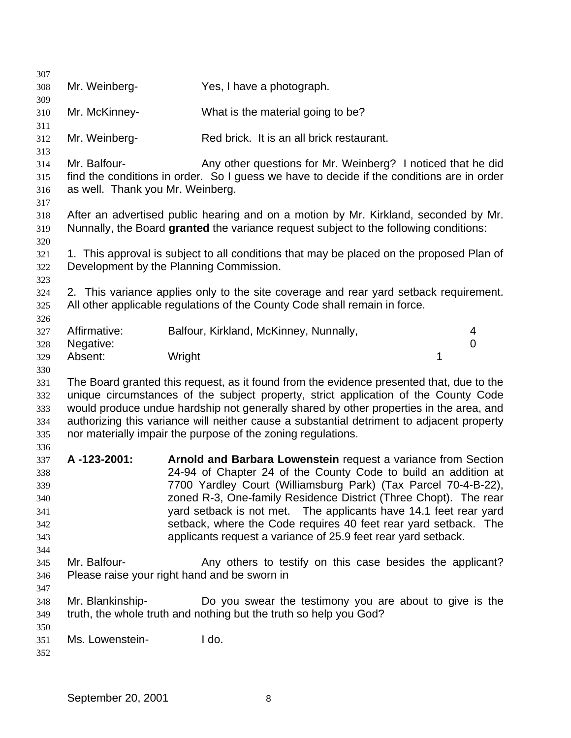| 307                                                  |                                                  |                                                                                                                                                                                                                                                                                                                                                                                                                                                                               |             |  |
|------------------------------------------------------|--------------------------------------------------|-------------------------------------------------------------------------------------------------------------------------------------------------------------------------------------------------------------------------------------------------------------------------------------------------------------------------------------------------------------------------------------------------------------------------------------------------------------------------------|-------------|--|
| 308<br>309                                           | Mr. Weinberg-                                    | Yes, I have a photograph.                                                                                                                                                                                                                                                                                                                                                                                                                                                     |             |  |
| 310                                                  | Mr. McKinney-                                    | What is the material going to be?                                                                                                                                                                                                                                                                                                                                                                                                                                             |             |  |
| 311<br>312                                           | Mr. Weinberg-                                    | Red brick. It is an all brick restaurant.                                                                                                                                                                                                                                                                                                                                                                                                                                     |             |  |
| 313<br>314<br>315<br>316<br>317                      | Mr. Balfour-<br>as well. Thank you Mr. Weinberg. | Any other questions for Mr. Weinberg? I noticed that he did<br>find the conditions in order. So I guess we have to decide if the conditions are in order                                                                                                                                                                                                                                                                                                                      |             |  |
| 318<br>319<br>320                                    |                                                  | After an advertised public hearing and on a motion by Mr. Kirkland, seconded by Mr.<br>Nunnally, the Board granted the variance request subject to the following conditions:                                                                                                                                                                                                                                                                                                  |             |  |
| 321<br>322<br>323                                    |                                                  | 1. This approval is subject to all conditions that may be placed on the proposed Plan of<br>Development by the Planning Commission.                                                                                                                                                                                                                                                                                                                                           |             |  |
| 324<br>325<br>326                                    |                                                  | 2. This variance applies only to the site coverage and rear yard setback requirement.<br>All other applicable regulations of the County Code shall remain in force.                                                                                                                                                                                                                                                                                                           |             |  |
| 327                                                  | Affirmative:                                     | Balfour, Kirkland, McKinney, Nunnally,                                                                                                                                                                                                                                                                                                                                                                                                                                        | 4           |  |
| 328                                                  | Negative:                                        |                                                                                                                                                                                                                                                                                                                                                                                                                                                                               | $\mathbf 0$ |  |
| 329<br>330                                           | Absent:                                          | Wright                                                                                                                                                                                                                                                                                                                                                                                                                                                                        | 1           |  |
| 331<br>332<br>333<br>334<br>335<br>336               |                                                  | The Board granted this request, as it found from the evidence presented that, due to the<br>unique circumstances of the subject property, strict application of the County Code<br>would produce undue hardship not generally shared by other properties in the area, and<br>authorizing this variance will neither cause a substantial detriment to adjacent property<br>nor materially impair the purpose of the zoning regulations.                                        |             |  |
| 337<br>338<br>339<br>340<br>341<br>342<br>343<br>344 | A-123-2001:                                      | Arnold and Barbara Lowenstein request a variance from Section<br>24-94 of Chapter 24 of the County Code to build an addition at<br>7700 Yardley Court (Williamsburg Park) (Tax Parcel 70-4-B-22),<br>zoned R-3, One-family Residence District (Three Chopt). The rear<br>yard setback is not met. The applicants have 14.1 feet rear yard<br>setback, where the Code requires 40 feet rear yard setback. The<br>applicants request a variance of 25.9 feet rear yard setback. |             |  |
| 345<br>346                                           | Mr. Balfour-                                     | Any others to testify on this case besides the applicant?<br>Please raise your right hand and be sworn in                                                                                                                                                                                                                                                                                                                                                                     |             |  |
| 347<br>348<br>349                                    | Mr. Blankinship-                                 | Do you swear the testimony you are about to give is the<br>truth, the whole truth and nothing but the truth so help you God?                                                                                                                                                                                                                                                                                                                                                  |             |  |
| 350<br>351<br>352                                    | Ms. Lowenstein-                                  | I do.                                                                                                                                                                                                                                                                                                                                                                                                                                                                         |             |  |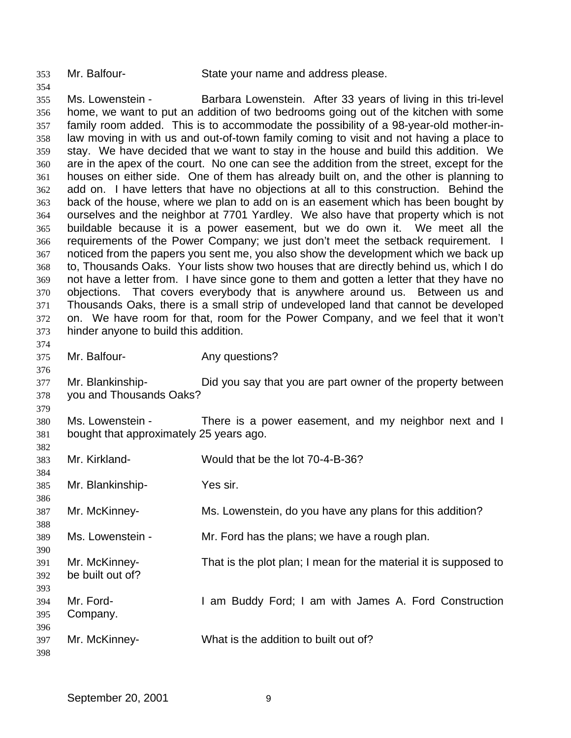Mr. Balfour- State your name and address please.

 Ms. Lowenstein - Barbara Lowenstein. After 33 years of living in this tri-level home, we want to put an addition of two bedrooms going out of the kitchen with some family room added. This is to accommodate the possibility of a 98-year-old mother-in- law moving in with us and out-of-town family coming to visit and not having a place to stay. We have decided that we want to stay in the house and build this addition. We are in the apex of the court. No one can see the addition from the street, except for the houses on either side. One of them has already built on, and the other is planning to add on. I have letters that have no objections at all to this construction. Behind the back of the house, where we plan to add on is an easement which has been bought by ourselves and the neighbor at 7701 Yardley. We also have that property which is not buildable because it is a power easement, but we do own it. We meet all the requirements of the Power Company; we just don't meet the setback requirement. I noticed from the papers you sent me, you also show the development which we back up to, Thousands Oaks. Your lists show two houses that are directly behind us, which I do not have a letter from. I have since gone to them and gotten a letter that they have no objections. That covers everybody that is anywhere around us. Between us and Thousands Oaks, there is a small strip of undeveloped land that cannot be developed on. We have room for that, room for the Power Company, and we feel that it won't hinder anyone to build this addition. 375 Mr. Balfour- **Any questions?** 

 Mr. Blankinship- Did you say that you are part owner of the property between you and Thousands Oaks?

 Ms. Lowenstein - There is a power easement, and my neighbor next and I bought that approximately 25 years ago.

 Mr. Kirkland- Would that be the lot 70-4-B-36? Mr. Blankinship- Yes sir. Mr. McKinney- Ms. Lowenstein, do you have any plans for this addition? Ms. Lowenstein - Mr. Ford has the plans; we have a rough plan. Mr. McKinney- That is the plot plan; I mean for the material it is supposed to be built out of? Mr. Ford- I am Buddy Ford; I am with James A. Ford Construction Company. Mr. McKinney- What is the addition to built out of?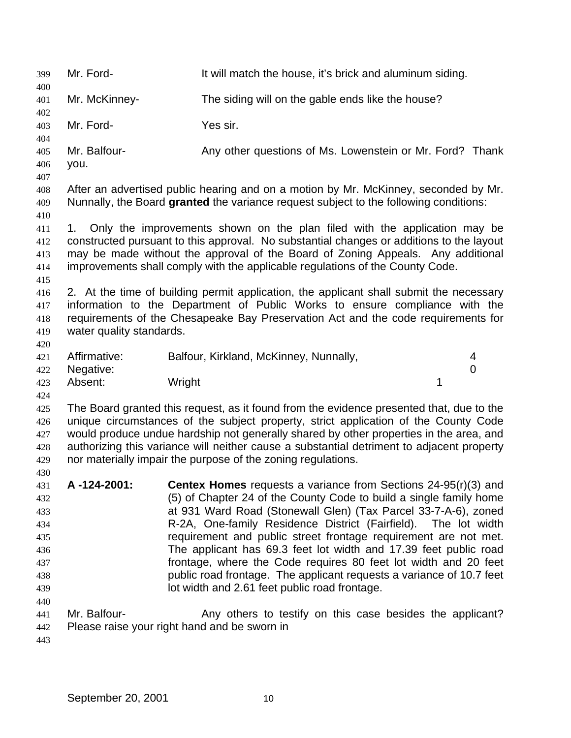Mr. Ford- It will match the house, it's brick and aluminum siding. Mr. McKinney- The siding will on the gable ends like the house? Mr. Ford- Yes sir. Mr. Balfour- Any other questions of Ms. Lowenstein or Mr. Ford? Thank you. After an advertised public hearing and on a motion by Mr. McKinney, seconded by Mr. Nunnally, the Board **granted** the variance request subject to the following conditions: 1. Only the improvements shown on the plan filed with the application may be constructed pursuant to this approval. No substantial changes or additions to the layout may be made without the approval of the Board of Zoning Appeals. Any additional improvements shall comply with the applicable regulations of the County Code. 2. At the time of building permit application, the applicant shall submit the necessary information to the Department of Public Works to ensure compliance with the requirements of the Chesapeake Bay Preservation Act and the code requirements for water quality standards. Affirmative: Balfour, Kirkland, McKinney, Nunnally, 4 Negative: 0 423 Absent: Wright 1 The Board granted this request, as it found from the evidence presented that, due to the unique circumstances of the subject property, strict application of the County Code would produce undue hardship not generally shared by other properties in the area, and authorizing this variance will neither cause a substantial detriment to adjacent property nor materially impair the purpose of the zoning regulations. **A -124-2001: Centex Homes** requests a variance from Sections 24-95(r)(3) and (5) of Chapter 24 of the County Code to build a single family home at 931 Ward Road (Stonewall Glen) (Tax Parcel 33-7-A-6), zoned R-2A, One-family Residence District (Fairfield). The lot width requirement and public street frontage requirement are not met. The applicant has 69.3 feet lot width and 17.39 feet public road frontage, where the Code requires 80 feet lot width and 20 feet public road frontage. The applicant requests a variance of 10.7 feet lot width and 2.61 feet public road frontage. Mr. Balfour- Any others to testify on this case besides the applicant? Please raise your right hand and be sworn in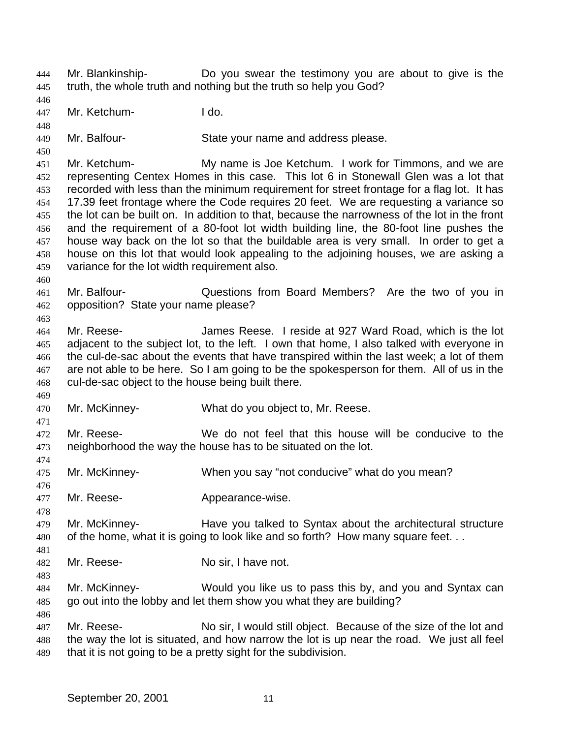Mr. Blankinship- Do you swear the testimony you are about to give is the truth, the whole truth and nothing but the truth so help you God?

Mr. Ketchum- I do.

Mr. Balfour- State your name and address please.

 Mr. Ketchum- My name is Joe Ketchum. I work for Timmons, and we are representing Centex Homes in this case. This lot 6 in Stonewall Glen was a lot that recorded with less than the minimum requirement for street frontage for a flag lot. It has 17.39 feet frontage where the Code requires 20 feet. We are requesting a variance so the lot can be built on. In addition to that, because the narrowness of the lot in the front and the requirement of a 80-foot lot width building line, the 80-foot line pushes the house way back on the lot so that the buildable area is very small. In order to get a house on this lot that would look appealing to the adjoining houses, we are asking a variance for the lot width requirement also.

 Mr. Balfour- Questions from Board Members? Are the two of you in opposition? State your name please?

 Mr. Reese- James Reese. I reside at 927 Ward Road, which is the lot adjacent to the subject lot, to the left. I own that home, I also talked with everyone in the cul-de-sac about the events that have transpired within the last week; a lot of them 467 are not able to be here. So I am going to be the spokesperson for them. All of us in the cul-de-sac object to the house being built there.

Mr. McKinney- What do you object to, Mr. Reese.

 Mr. Reese- We do not feel that this house will be conducive to the neighborhood the way the house has to be situated on the lot.

- Mr. McKinney- When you say "not conducive" what do you mean?
- 

477 Mr. Reese- **Appearance-wise.** 

- Mr. McKinney- Have you talked to Syntax about the architectural structure 480 of the home, what it is going to look like and so forth? How many square feet...
- Mr. Reese- No sir, I have not.
- 

 Mr. McKinney- Would you like us to pass this by, and you and Syntax can go out into the lobby and let them show you what they are building?

 Mr. Reese- No sir, I would still object. Because of the size of the lot and the way the lot is situated, and how narrow the lot is up near the road. We just all feel that it is not going to be a pretty sight for the subdivision.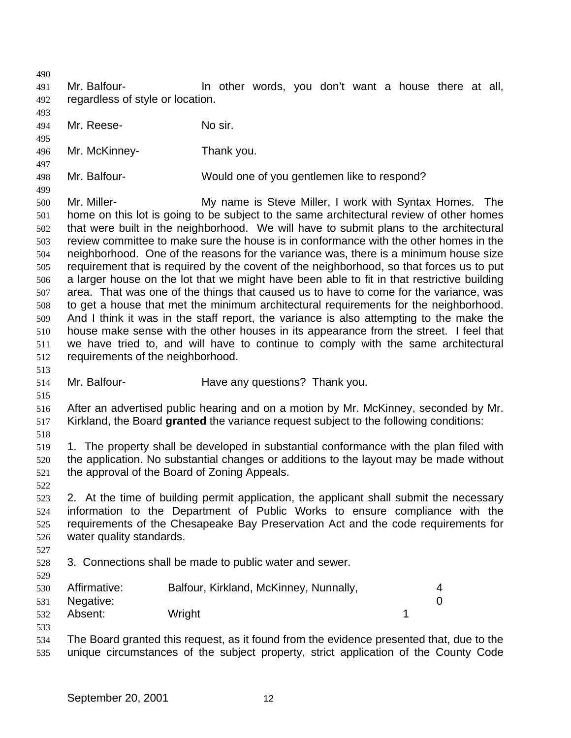- Mr. Balfour- In other words, you don't want a house there at all, regardless of style or location.
- Mr. Reese- No sir.
- Mr. McKinney- Thank you.
- Mr. Balfour- Would one of you gentlemen like to respond?
- 

 Mr. Miller- My name is Steve Miller, I work with Syntax Homes. The home on this lot is going to be subject to the same architectural review of other homes that were built in the neighborhood. We will have to submit plans to the architectural review committee to make sure the house is in conformance with the other homes in the neighborhood. One of the reasons for the variance was, there is a minimum house size requirement that is required by the covent of the neighborhood, so that forces us to put a larger house on the lot that we might have been able to fit in that restrictive building area. That was one of the things that caused us to have to come for the variance, was to get a house that met the minimum architectural requirements for the neighborhood. And I think it was in the staff report, the variance is also attempting to the make the house make sense with the other houses in its appearance from the street. I feel that we have tried to, and will have to continue to comply with the same architectural requirements of the neighborhood.

- Mr. Balfour- Have any questions? Thank you.
- 

 After an advertised public hearing and on a motion by Mr. McKinney, seconded by Mr. Kirkland, the Board **granted** the variance request subject to the following conditions:

- 1. The property shall be developed in substantial conformance with the plan filed with the application. No substantial changes or additions to the layout may be made without the approval of the Board of Zoning Appeals.
- 

 2. At the time of building permit application, the applicant shall submit the necessary information to the Department of Public Works to ensure compliance with the requirements of the Chesapeake Bay Preservation Act and the code requirements for water quality standards.

- 3. Connections shall be made to public water and sewer.
- Affirmative: Balfour, Kirkland, McKinney, Nunnally, 4 Negative: 0 532 Absent: Wright 1
- The Board granted this request, as it found from the evidence presented that, due to the unique circumstances of the subject property, strict application of the County Code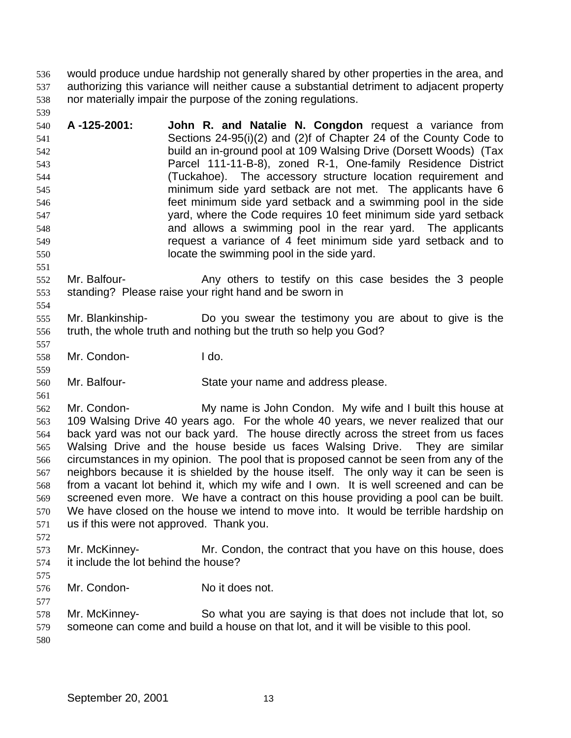would produce undue hardship not generally shared by other properties in the area, and authorizing this variance will neither cause a substantial detriment to adjacent property nor materially impair the purpose of the zoning regulations.

 **A -125-2001: John R. and Natalie N. Congdon** request a variance from Sections 24-95(i)(2) and (2)f of Chapter 24 of the County Code to build an in-ground pool at 109 Walsing Drive (Dorsett Woods) (Tax Parcel 111-11-B-8), zoned R-1, One-family Residence District (Tuckahoe). The accessory structure location requirement and minimum side yard setback are not met. The applicants have 6 feet minimum side yard setback and a swimming pool in the side yard, where the Code requires 10 feet minimum side yard setback and allows a swimming pool in the rear yard. The applicants request a variance of 4 feet minimum side yard setback and to locate the swimming pool in the side yard.

 Mr. Balfour- Any others to testify on this case besides the 3 people standing? Please raise your right hand and be sworn in

 Mr. Blankinship- Do you swear the testimony you are about to give is the truth, the whole truth and nothing but the truth so help you God?

Mr. Condon- I do.

Mr. Balfour- State your name and address please.

 Mr. Condon- My name is John Condon. My wife and I built this house at 109 Walsing Drive 40 years ago. For the whole 40 years, we never realized that our back yard was not our back yard. The house directly across the street from us faces Walsing Drive and the house beside us faces Walsing Drive. They are similar circumstances in my opinion. The pool that is proposed cannot be seen from any of the neighbors because it is shielded by the house itself. The only way it can be seen is from a vacant lot behind it, which my wife and I own. It is well screened and can be screened even more. We have a contract on this house providing a pool can be built. We have closed on the house we intend to move into. It would be terrible hardship on us if this were not approved. Thank you.

 Mr. McKinney- Mr. Condon, the contract that you have on this house, does it include the lot behind the house?

Mr. Condon- No it does not.

 Mr. McKinney- So what you are saying is that does not include that lot, so someone can come and build a house on that lot, and it will be visible to this pool.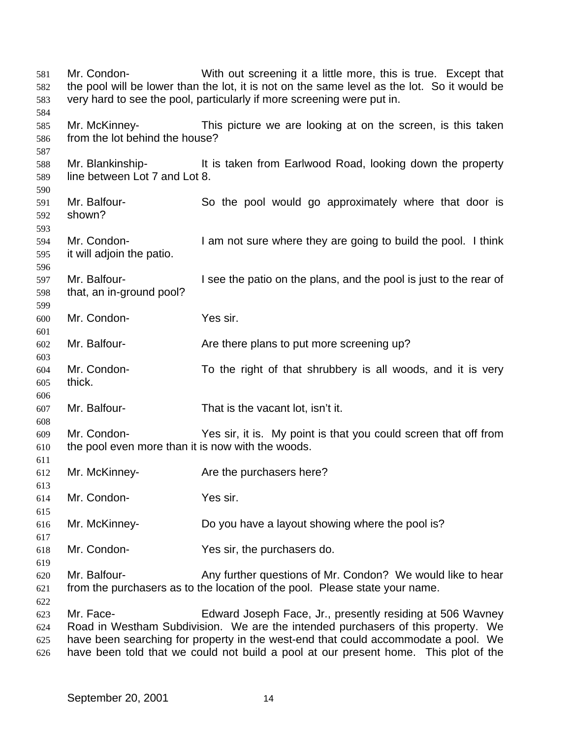Mr. Condon- With out screening it a little more, this is true. Except that the pool will be lower than the lot, it is not on the same level as the lot. So it would be very hard to see the pool, particularly if more screening were put in. Mr. McKinney- This picture we are looking at on the screen, is this taken from the lot behind the house? Mr. Blankinship- It is taken from Earlwood Road, looking down the property line between Lot 7 and Lot 8. Mr. Balfour- So the pool would go approximately where that door is shown? Mr. Condon- I am not sure where they are going to build the pool. I think it will adjoin the patio. Mr. Balfour- I see the patio on the plans, and the pool is just to the rear of that, an in-ground pool? Mr. Condon- Yes sir. Mr. Balfour- Are there plans to put more screening up? Mr. Condon- To the right of that shrubbery is all woods, and it is very thick. Mr. Balfour- That is the vacant lot, isn't it. Mr. Condon- Yes sir, it is. My point is that you could screen that off from the pool even more than it is now with the woods. Mr. McKinney- Are the purchasers here? Mr. Condon- Yes sir. Mr. McKinney- Do you have a layout showing where the pool is? Mr. Condon- Yes sir, the purchasers do. Mr. Balfour- Any further questions of Mr. Condon? We would like to hear from the purchasers as to the location of the pool. Please state your name. Mr. Face- Edward Joseph Face, Jr., presently residing at 506 Wavney Road in Westham Subdivision. We are the intended purchasers of this property. We have been searching for property in the west-end that could accommodate a pool. We have been told that we could not build a pool at our present home. This plot of the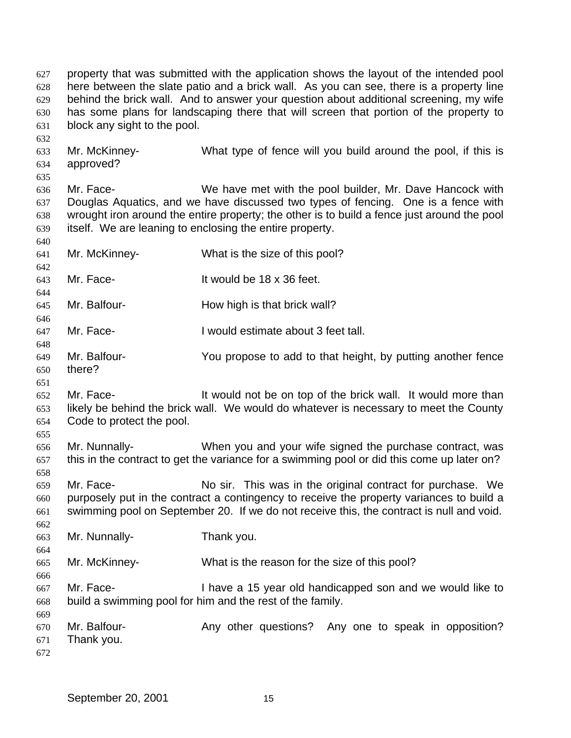property that was submitted with the application shows the layout of the intended pool here between the slate patio and a brick wall. As you can see, there is a property line behind the brick wall. And to answer your question about additional screening, my wife has some plans for landscaping there that will screen that portion of the property to block any sight to the pool. Mr. McKinney- What type of fence will you build around the pool, if this is approved? Mr. Face- We have met with the pool builder, Mr. Dave Hancock with Douglas Aquatics, and we have discussed two types of fencing. One is a fence with wrought iron around the entire property; the other is to build a fence just around the pool itself. We are leaning to enclosing the entire property. Mr. McKinney- What is the size of this pool? Mr. Face- It would be 18 x 36 feet. Mr. Balfour- How high is that brick wall? Mr. Face- I would estimate about 3 feet tall. Mr. Balfour- You propose to add to that height, by putting another fence there? Mr. Face- It would not be on top of the brick wall. It would more than likely be behind the brick wall. We would do whatever is necessary to meet the County Code to protect the pool. Mr. Nunnally- When you and your wife signed the purchase contract, was this in the contract to get the variance for a swimming pool or did this come up later on? Mr. Face- No sir. This was in the original contract for purchase. We purposely put in the contract a contingency to receive the property variances to build a swimming pool on September 20. If we do not receive this, the contract is null and void. Mr. Nunnally- Thank you. Mr. McKinney- What is the reason for the size of this pool? Mr. Face- I have a 15 year old handicapped son and we would like to build a swimming pool for him and the rest of the family. Mr. Balfour- Any other questions? Any one to speak in opposition? Thank you.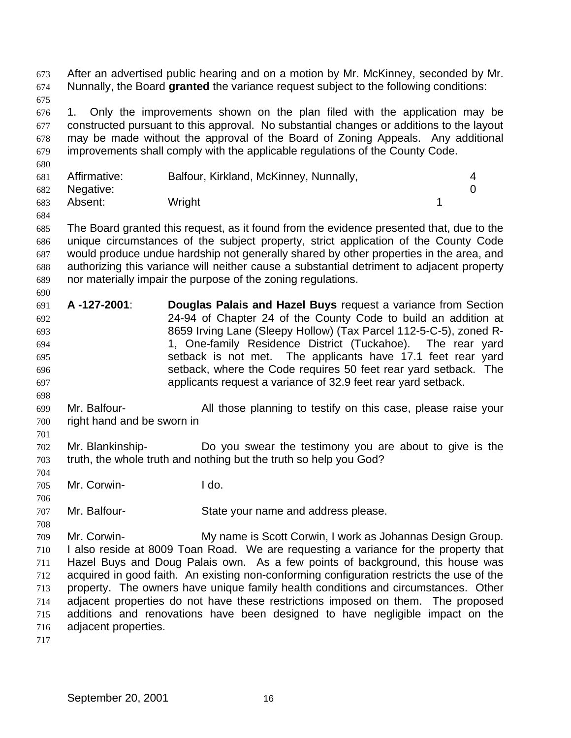After an advertised public hearing and on a motion by Mr. McKinney, seconded by Mr. Nunnally, the Board **granted** the variance request subject to the following conditions: 1. Only the improvements shown on the plan filed with the application may be constructed pursuant to this approval. No substantial changes or additions to the layout may be made without the approval of the Board of Zoning Appeals. Any additional improvements shall comply with the applicable regulations of the County Code. Affirmative: Balfour, Kirkland, McKinney, Nunnally, 4 Negative: 0 683 Absent: Wright 1 The Board granted this request, as it found from the evidence presented that, due to the unique circumstances of the subject property, strict application of the County Code would produce undue hardship not generally shared by other properties in the area, and authorizing this variance will neither cause a substantial detriment to adjacent property nor materially impair the purpose of the zoning regulations. **A -127-2001**: **Douglas Palais and Hazel Buys** request a variance from Section 24-94 of Chapter 24 of the County Code to build an addition at 8659 Irving Lane (Sleepy Hollow) (Tax Parcel 112-5-C-5), zoned R- 1, One-family Residence District (Tuckahoe). The rear yard setback is not met. The applicants have 17.1 feet rear yard setback, where the Code requires 50 feet rear yard setback. The applicants request a variance of 32.9 feet rear yard setback. Mr. Balfour- All those planning to testify on this case, please raise your right hand and be sworn in Mr. Blankinship- Do you swear the testimony you are about to give is the truth, the whole truth and nothing but the truth so help you God? Mr. Corwin- I do. Mr. Balfour- State your name and address please. Mr. Corwin- My name is Scott Corwin, I work as Johannas Design Group. I also reside at 8009 Toan Road. We are requesting a variance for the property that Hazel Buys and Doug Palais own. As a few points of background, this house was acquired in good faith. An existing non-conforming configuration restricts the use of the property. The owners have unique family health conditions and circumstances. Other adjacent properties do not have these restrictions imposed on them. The proposed additions and renovations have been designed to have negligible impact on the adjacent properties.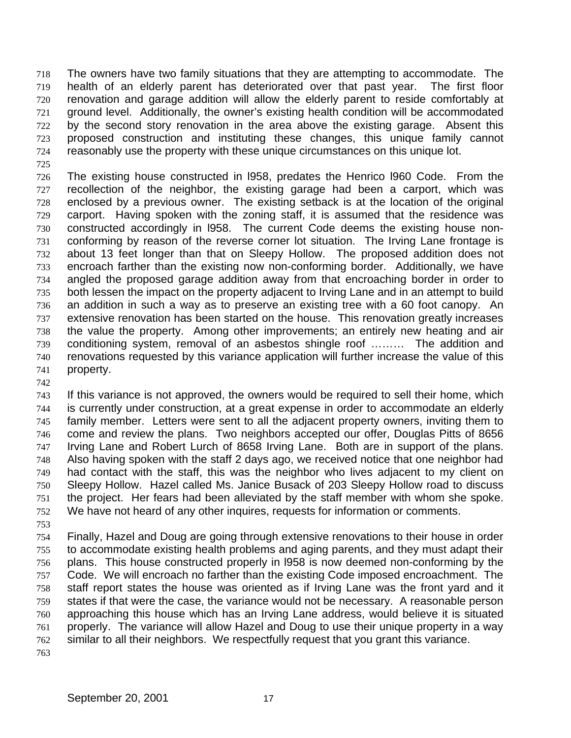The owners have two family situations that they are attempting to accommodate. The health of an elderly parent has deteriorated over that past year. The first floor renovation and garage addition will allow the elderly parent to reside comfortably at ground level. Additionally, the owner's existing health condition will be accommodated by the second story renovation in the area above the existing garage. Absent this proposed construction and instituting these changes, this unique family cannot reasonably use the property with these unique circumstances on this unique lot.

 The existing house constructed in l958, predates the Henrico l960 Code. From the recollection of the neighbor, the existing garage had been a carport, which was enclosed by a previous owner. The existing setback is at the location of the original carport. Having spoken with the zoning staff, it is assumed that the residence was constructed accordingly in l958. The current Code deems the existing house non- conforming by reason of the reverse corner lot situation. The Irving Lane frontage is about 13 feet longer than that on Sleepy Hollow. The proposed addition does not encroach farther than the existing now non-conforming border. Additionally, we have angled the proposed garage addition away from that encroaching border in order to 735 both lessen the impact on the property adjacent to Irving Lane and in an attempt to build an addition in such a way as to preserve an existing tree with a 60 foot canopy. An extensive renovation has been started on the house. This renovation greatly increases the value the property. Among other improvements; an entirely new heating and air conditioning system, removal of an asbestos shingle roof ……… The addition and renovations requested by this variance application will further increase the value of this property.

 If this variance is not approved, the owners would be required to sell their home, which is currently under construction, at a great expense in order to accommodate an elderly family member. Letters were sent to all the adjacent property owners, inviting them to come and review the plans. Two neighbors accepted our offer, Douglas Pitts of 8656 Irving Lane and Robert Lurch of 8658 Irving Lane. Both are in support of the plans. Also having spoken with the staff 2 days ago, we received notice that one neighbor had had contact with the staff, this was the neighbor who lives adjacent to my client on Sleepy Hollow. Hazel called Ms. Janice Busack of 203 Sleepy Hollow road to discuss the project. Her fears had been alleviated by the staff member with whom she spoke. We have not heard of any other inquires, requests for information or comments.

 Finally, Hazel and Doug are going through extensive renovations to their house in order to accommodate existing health problems and aging parents, and they must adapt their plans. This house constructed properly in l958 is now deemed non-conforming by the Code. We will encroach no farther than the existing Code imposed encroachment. The staff report states the house was oriented as if Irving Lane was the front yard and it states if that were the case, the variance would not be necessary. A reasonable person approaching this house which has an Irving Lane address, would believe it is situated properly. The variance will allow Hazel and Doug to use their unique property in a way similar to all their neighbors. We respectfully request that you grant this variance.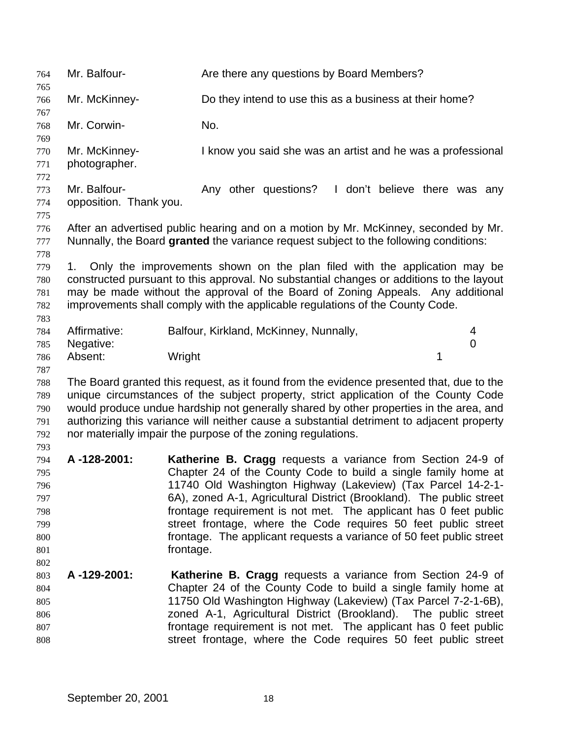Mr. Balfour- Are there any questions by Board Members? Mr. McKinney- Do they intend to use this as a business at their home? Mr. Corwin- No. Mr. McKinney- I know you said she was an artist and he was a professional photographer. 773 Mr. Balfour- **Any other questions?** I don't believe there was any opposition. Thank you. After an advertised public hearing and on a motion by Mr. McKinney, seconded by Mr. Nunnally, the Board **granted** the variance request subject to the following conditions: 1. Only the improvements shown on the plan filed with the application may be constructed pursuant to this approval. No substantial changes or additions to the layout may be made without the approval of the Board of Zoning Appeals. Any additional improvements shall comply with the applicable regulations of the County Code. Affirmative: Balfour, Kirkland, McKinney, Nunnally, 4 Negative: 0 786 Absent: Wright 1 The Board granted this request, as it found from the evidence presented that, due to the unique circumstances of the subject property, strict application of the County Code would produce undue hardship not generally shared by other properties in the area, and authorizing this variance will neither cause a substantial detriment to adjacent property nor materially impair the purpose of the zoning regulations. **A -128-2001: Katherine B. Cragg** requests a variance from Section 24-9 of Chapter 24 of the County Code to build a single family home at 11740 Old Washington Highway (Lakeview) (Tax Parcel 14-2-1- 6A), zoned A-1, Agricultural District (Brookland). The public street frontage requirement is not met. The applicant has 0 feet public street frontage, where the Code requires 50 feet public street frontage. The applicant requests a variance of 50 feet public street **frontage. A -129-2001: Katherine B. Cragg** requests a variance from Section 24-9 of Chapter 24 of the County Code to build a single family home at 11750 Old Washington Highway (Lakeview) (Tax Parcel 7-2-1-6B), zoned A-1, Agricultural District (Brookland). The public street frontage requirement is not met. The applicant has 0 feet public street frontage, where the Code requires 50 feet public street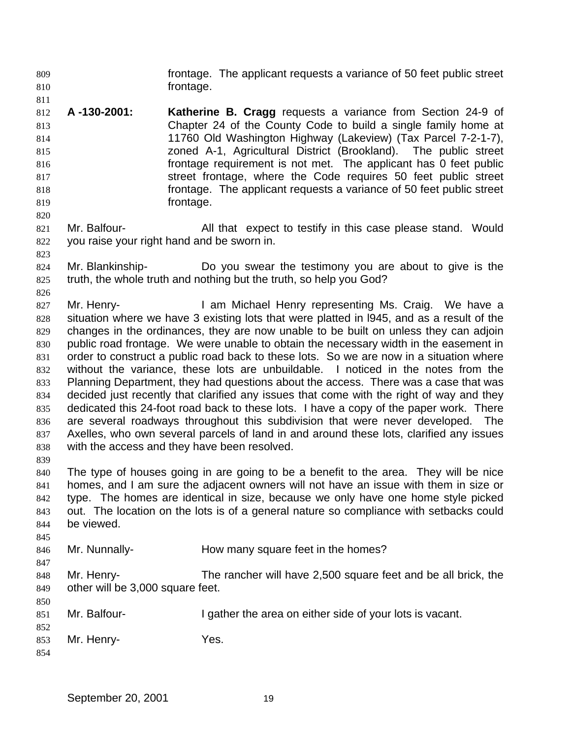frontage. The applicant requests a variance of 50 feet public street **frontage.** 

- **A -130-2001: Katherine B. Cragg** requests a variance from Section 24-9 of Chapter 24 of the County Code to build a single family home at 11760 Old Washington Highway (Lakeview) (Tax Parcel 7-2-1-7), zoned A-1, Agricultural District (Brookland). The public street frontage requirement is not met. The applicant has 0 feet public street frontage, where the Code requires 50 feet public street frontage. The applicant requests a variance of 50 feet public street frontage.
- Mr. Balfour- All that expect to testify in this case please stand. Would you raise your right hand and be sworn in.
- Mr. Blankinship- Do you swear the testimony you are about to give is the truth, the whole truth and nothing but the truth, so help you God?
- 827 Mr. Henry- **I am Michael Henry representing Ms. Craig.** We have a situation where we have 3 existing lots that were platted in l945, and as a result of the changes in the ordinances, they are now unable to be built on unless they can adjoin public road frontage. We were unable to obtain the necessary width in the easement in order to construct a public road back to these lots. So we are now in a situation where without the variance, these lots are unbuildable. I noticed in the notes from the Planning Department, they had questions about the access. There was a case that was decided just recently that clarified any issues that come with the right of way and they dedicated this 24-foot road back to these lots. I have a copy of the paper work. There are several roadways throughout this subdivision that were never developed. The Axelles, who own several parcels of land in and around these lots, clarified any issues with the access and they have been resolved.
- The type of houses going in are going to be a benefit to the area. They will be nice homes, and I am sure the adjacent owners will not have an issue with them in size or type. The homes are identical in size, because we only have one home style picked out. The location on the lots is of a general nature so compliance with setbacks could be viewed.
- Mr. Nunnally- How many square feet in the homes?
- Mr. Henry- The rancher will have 2,500 square feet and be all brick, the other will be 3,000 square feet.
- 851 Mr. Balfour- I gather the area on either side of your lots is vacant.
- Mr. Henry- Yes.
-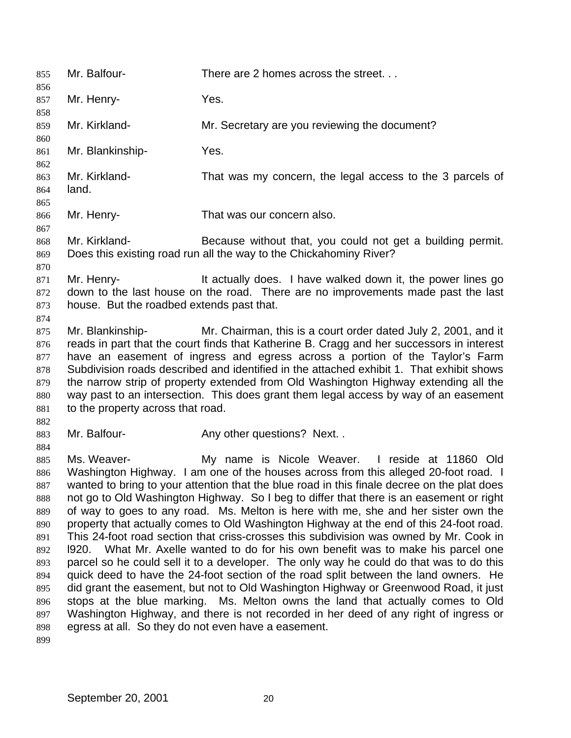Mr. Balfour- There are 2 homes across the street. . . 857 Mr. Henry- Yes. Mr. Kirkland- Mr. Secretary are you reviewing the document? Mr. Blankinship- Yes. Mr. Kirkland- That was my concern, the legal access to the 3 parcels of land. Mr. Henry- That was our concern also. Mr. Kirkland- Because without that, you could not get a building permit. Does this existing road run all the way to the Chickahominy River? Mr. Henry- It actually does. I have walked down it, the power lines go down to the last house on the road. There are no improvements made past the last house. But the roadbed extends past that. Mr. Blankinship- Mr. Chairman, this is a court order dated July 2, 2001, and it reads in part that the court finds that Katherine B. Cragg and her successors in interest have an easement of ingress and egress across a portion of the Taylor's Farm Subdivision roads described and identified in the attached exhibit 1. That exhibit shows the narrow strip of property extended from Old Washington Highway extending all the way past to an intersection. This does grant them legal access by way of an easement to the property across that road. 883 Mr. Balfour- **Any other questions?** Next. . Ms. Weaver- My name is Nicole Weaver. I reside at 11860 Old 886 Washington Highway. I am one of the houses across from this alleged 20-foot road. I wanted to bring to your attention that the blue road in this finale decree on the plat does not go to Old Washington Highway. So I beg to differ that there is an easement or right of way to goes to any road. Ms. Melton is here with me, she and her sister own the property that actually comes to Old Washington Highway at the end of this 24-foot road. This 24-foot road section that criss-crosses this subdivision was owned by Mr. Cook in l920. What Mr. Axelle wanted to do for his own benefit was to make his parcel one parcel so he could sell it to a developer. The only way he could do that was to do this quick deed to have the 24-foot section of the road split between the land owners. He did grant the easement, but not to Old Washington Highway or Greenwood Road, it just stops at the blue marking. Ms. Melton owns the land that actually comes to Old Washington Highway, and there is not recorded in her deed of any right of ingress or egress at all. So they do not even have a easement.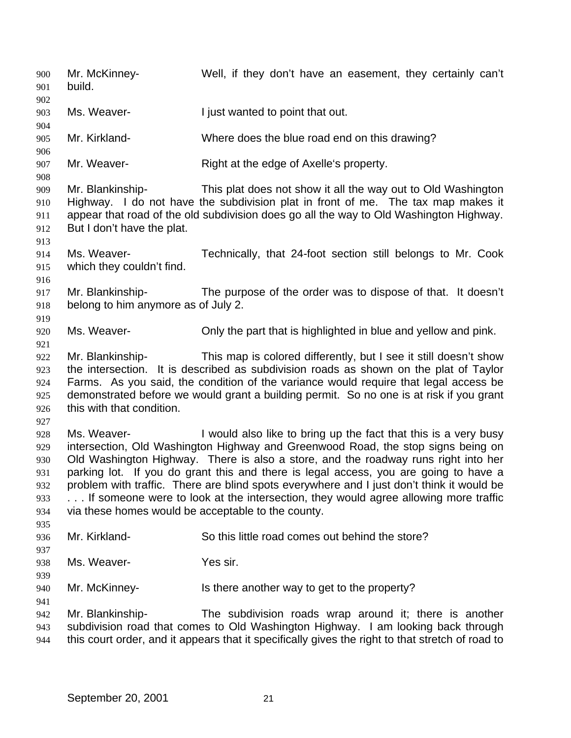Mr. McKinney- Well, if they don't have an easement, they certainly can't build. 903 Ms. Weaver-<br> **I** just wanted to point that out. Mr. Kirkland- Where does the blue road end on this drawing? Mr. Weaver- Right at the edge of Axelle's property. Mr. Blankinship- This plat does not show it all the way out to Old Washington Highway. I do not have the subdivision plat in front of me. The tax map makes it appear that road of the old subdivision does go all the way to Old Washington Highway. But I don't have the plat. Ms. Weaver- Technically, that 24-foot section still belongs to Mr. Cook which they couldn't find. Mr. Blankinship- The purpose of the order was to dispose of that. It doesn't belong to him anymore as of July 2. Ms. Weaver- Only the part that is highlighted in blue and yellow and pink. Mr. Blankinship- This map is colored differently, but I see it still doesn't show the intersection. It is described as subdivision roads as shown on the plat of Taylor Farms. As you said, the condition of the variance would require that legal access be demonstrated before we would grant a building permit. So no one is at risk if you grant this with that condition. Ms. Weaver- I would also like to bring up the fact that this is a very busy intersection, Old Washington Highway and Greenwood Road, the stop signs being on Old Washington Highway. There is also a store, and the roadway runs right into her parking lot. If you do grant this and there is legal access, you are going to have a problem with traffic. There are blind spots everywhere and I just don't think it would be 933 . . . If someone were to look at the intersection, they would agree allowing more traffic via these homes would be acceptable to the county. Mr. Kirkland- So this little road comes out behind the store? Ms. Weaver- Yes sir. Mr. McKinney- Is there another way to get to the property? Mr. Blankinship- The subdivision roads wrap around it; there is another subdivision road that comes to Old Washington Highway. I am looking back through this court order, and it appears that it specifically gives the right to that stretch of road to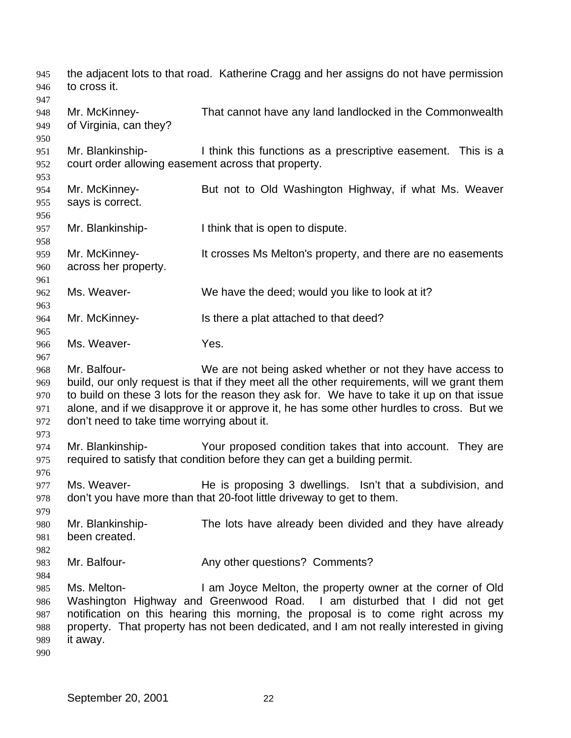the adjacent lots to that road. Katherine Cragg and her assigns do not have permission to cross it. Mr. McKinney- That cannot have any land landlocked in the Commonwealth of Virginia, can they? Mr. Blankinship- I think this functions as a prescriptive easement. This is a court order allowing easement across that property. Mr. McKinney- But not to Old Washington Highway, if what Ms. Weaver says is correct. Mr. Blankinship- I think that is open to dispute. Mr. McKinney- It crosses Ms Melton's property, and there are no easements across her property. Ms. Weaver- We have the deed; would you like to look at it? Mr. McKinney- Is there a plat attached to that deed? Ms. Weaver- Yes. Mr. Balfour- We are not being asked whether or not they have access to build, our only request is that if they meet all the other requirements, will we grant them to build on these 3 lots for the reason they ask for. We have to take it up on that issue alone, and if we disapprove it or approve it, he has some other hurdles to cross. But we don't need to take time worrying about it. Mr. Blankinship- Your proposed condition takes that into account. They are required to satisfy that condition before they can get a building permit. Ms. Weaver- He is proposing 3 dwellings. Isn't that a subdivision, and don't you have more than that 20-foot little driveway to get to them. Mr. Blankinship- The lots have already been divided and they have already 981 been created. 983 Mr. Balfour- **Any other questions?** Comments? Ms. Melton- I am Joyce Melton, the property owner at the corner of Old Washington Highway and Greenwood Road. I am disturbed that I did not get notification on this hearing this morning, the proposal is to come right across my property. That property has not been dedicated, and I am not really interested in giving it away.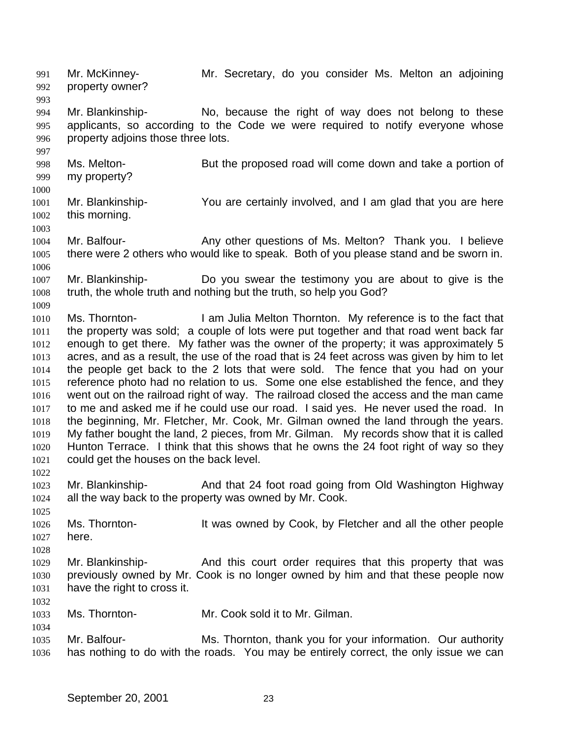Mr. McKinney- Mr. Secretary, do you consider Ms. Melton an adjoining property owner? 

 Mr. Blankinship- No, because the right of way does not belong to these applicants, so according to the Code we were required to notify everyone whose property adjoins those three lots.

 Ms. Melton- But the proposed road will come down and take a portion of my property?

 Mr. Blankinship- You are certainly involved, and I am glad that you are here this morning.

1004 Mr. Balfour- **Any other questions of Ms. Melton?** Thank you. I believe there were 2 others who would like to speak. Both of you please stand and be sworn in. 

 Mr. Blankinship- Do you swear the testimony you are about to give is the truth, the whole truth and nothing but the truth, so help you God?

 Ms. Thornton- I am Julia Melton Thornton. My reference is to the fact that the property was sold; a couple of lots were put together and that road went back far enough to get there. My father was the owner of the property; it was approximately 5 acres, and as a result, the use of the road that is 24 feet across was given by him to let the people get back to the 2 lots that were sold. The fence that you had on your reference photo had no relation to us. Some one else established the fence, and they went out on the railroad right of way. The railroad closed the access and the man came to me and asked me if he could use our road. I said yes. He never used the road. In the beginning, Mr. Fletcher, Mr. Cook, Mr. Gilman owned the land through the years. My father bought the land, 2 pieces, from Mr. Gilman. My records show that it is called Hunton Terrace. I think that this shows that he owns the 24 foot right of way so they could get the houses on the back level.

 Mr. Blankinship- And that 24 foot road going from Old Washington Highway all the way back to the property was owned by Mr. Cook.

 Ms. Thornton- It was owned by Cook, by Fletcher and all the other people here.

 Mr. Blankinship- And this court order requires that this property that was previously owned by Mr. Cook is no longer owned by him and that these people now have the right to cross it.

- Ms. Thornton- Mr. Cook sold it to Mr. Gilman.
- Mr. Balfour- Ms. Thornton, thank you for your information. Our authority has nothing to do with the roads. You may be entirely correct, the only issue we can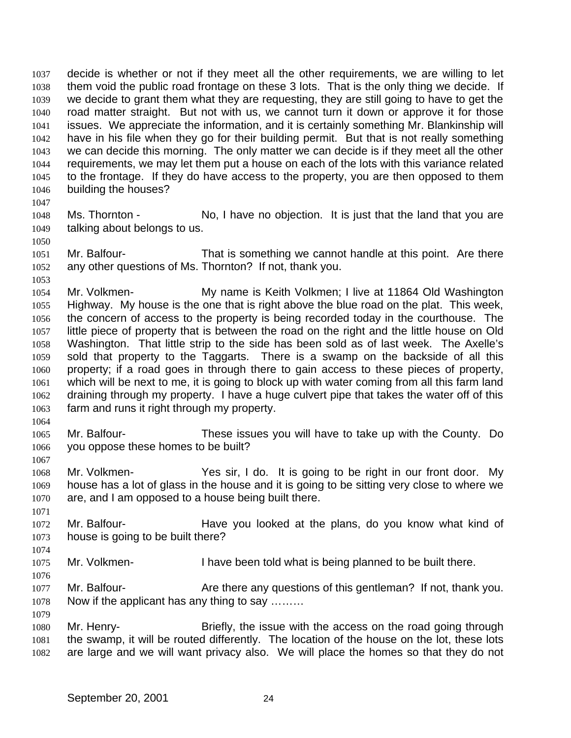decide is whether or not if they meet all the other requirements, we are willing to let them void the public road frontage on these 3 lots. That is the only thing we decide. If we decide to grant them what they are requesting, they are still going to have to get the road matter straight. But not with us, we cannot turn it down or approve it for those issues. We appreciate the information, and it is certainly something Mr. Blankinship will have in his file when they go for their building permit. But that is not really something we can decide this morning. The only matter we can decide is if they meet all the other requirements, we may let them put a house on each of the lots with this variance related to the frontage. If they do have access to the property, you are then opposed to them building the houses?

- Ms. Thornton No, I have no objection. It is just that the land that you are talking about belongs to us.
- Mr. Balfour- That is something we cannot handle at this point. Are there any other questions of Ms. Thornton? If not, thank you.
- Mr. Volkmen- My name is Keith Volkmen; I live at 11864 Old Washington Highway. My house is the one that is right above the blue road on the plat. This week, the concern of access to the property is being recorded today in the courthouse. The little piece of property that is between the road on the right and the little house on Old Washington. That little strip to the side has been sold as of last week. The Axelle's sold that property to the Taggarts. There is a swamp on the backside of all this property; if a road goes in through there to gain access to these pieces of property, which will be next to me, it is going to block up with water coming from all this farm land draining through my property. I have a huge culvert pipe that takes the water off of this farm and runs it right through my property.
- Mr. Balfour- These issues you will have to take up with the County. Do you oppose these homes to be built?
- Mr. Volkmen- Yes sir, I do. It is going to be right in our front door. My house has a lot of glass in the house and it is going to be sitting very close to where we are, and I am opposed to a house being built there.
- Mr. Balfour- Have you looked at the plans, do you know what kind of house is going to be built there?
- Mr. Volkmen- I have been told what is being planned to be built there.
- 1077 Mr. Balfour- **Are there any questions of this gentleman?** If not, thank you. Now if the applicant has any thing to say ………
- Mr. Henry- Briefly, the issue with the access on the road going through the swamp, it will be routed differently. The location of the house on the lot, these lots are large and we will want privacy also. We will place the homes so that they do not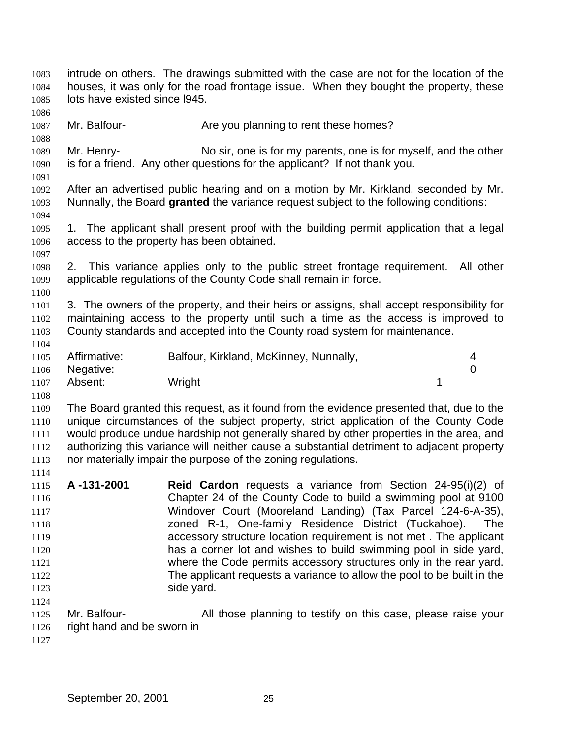intrude on others. The drawings submitted with the case are not for the location of the houses, it was only for the road frontage issue. When they bought the property, these lots have existed since l945. 1087 Mr. Balfour- **Are you planning to rent these homes?**  Mr. Henry- No sir, one is for my parents, one is for myself, and the other is for a friend. Any other questions for the applicant? If not thank you. After an advertised public hearing and on a motion by Mr. Kirkland, seconded by Mr. Nunnally, the Board **granted** the variance request subject to the following conditions: 1. The applicant shall present proof with the building permit application that a legal access to the property has been obtained. 2. This variance applies only to the public street frontage requirement. All other applicable regulations of the County Code shall remain in force. 3. The owners of the property, and their heirs or assigns, shall accept responsibility for maintaining access to the property until such a time as the access is improved to County standards and accepted into the County road system for maintenance. Affirmative: Balfour, Kirkland, McKinney, Nunnally, 4 Negative: 0 1107 Absent: Wright 1107 Absent: 1 The Board granted this request, as it found from the evidence presented that, due to the unique circumstances of the subject property, strict application of the County Code would produce undue hardship not generally shared by other properties in the area, and authorizing this variance will neither cause a substantial detriment to adjacent property nor materially impair the purpose of the zoning regulations. **A -131-2001 Reid Cardon** requests a variance from Section 24-95(i)(2) of Chapter 24 of the County Code to build a swimming pool at 9100 Windover Court (Mooreland Landing) (Tax Parcel 124-6-A-35), zoned R-1, One-family Residence District (Tuckahoe). The accessory structure location requirement is not met . The applicant has a corner lot and wishes to build swimming pool in side yard, where the Code permits accessory structures only in the rear yard. The applicant requests a variance to allow the pool to be built in the 1123 side yard. 1125 Mr. Balfour- All those planning to testify on this case, please raise your right hand and be sworn in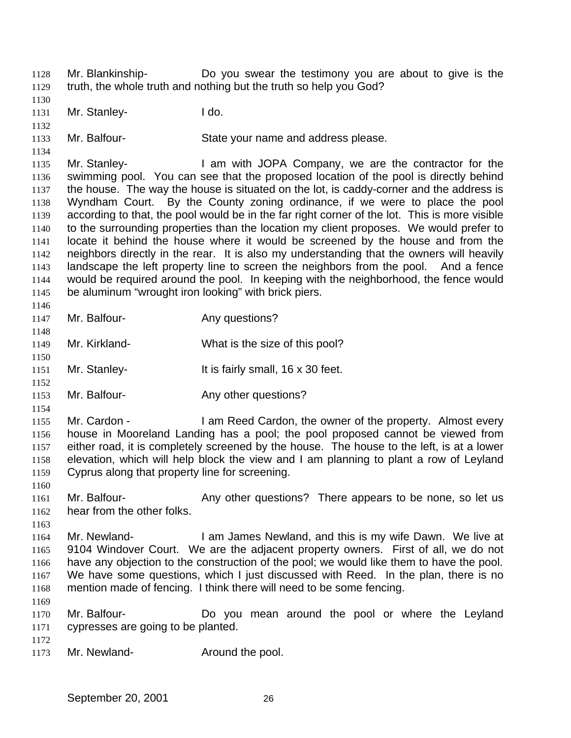Mr. Blankinship- Do you swear the testimony you are about to give is the truth, the whole truth and nothing but the truth so help you God?

1131 Mr. Stanley- I do.

Mr. Balfour- State your name and address please.

 Mr. Stanley- I am with JOPA Company, we are the contractor for the swimming pool. You can see that the proposed location of the pool is directly behind 1137 the house. The way the house is situated on the lot, is caddy-corner and the address is Wyndham Court. By the County zoning ordinance, if we were to place the pool according to that, the pool would be in the far right corner of the lot. This is more visible to the surrounding properties than the location my client proposes. We would prefer to locate it behind the house where it would be screened by the house and from the neighbors directly in the rear. It is also my understanding that the owners will heavily landscape the left property line to screen the neighbors from the pool. And a fence would be required around the pool. In keeping with the neighborhood, the fence would be aluminum "wrought iron looking" with brick piers.

- 1147 Mr. Balfour-<br>
Any questions?
- Mr. Kirkland- What is the size of this pool?
- Mr. Stanley- It is fairly small, 16 x 30 feet.
- 1153 Mr. Balfour- Any other questions?
- 

1155 Mr. Cardon - I am Reed Cardon, the owner of the property. Almost every house in Mooreland Landing has a pool; the pool proposed cannot be viewed from either road, it is completely screened by the house. The house to the left, is at a lower elevation, which will help block the view and I am planning to plant a row of Leyland Cyprus along that property line for screening.

1161 Mr. Balfour- Any other questions? There appears to be none, so let us hear from the other folks.

- 1164 Mr. Newland- I am James Newland, and this is my wife Dawn. We live at 9104 Windover Court. We are the adjacent property owners. First of all, we do not have any objection to the construction of the pool; we would like them to have the pool. We have some questions, which I just discussed with Reed. In the plan, there is no mention made of fencing. I think there will need to be some fencing.
- Mr. Balfour- Do you mean around the pool or where the Leyland cypresses are going to be planted.
- 
- 1173 Mr. Newland- **Around the pool.**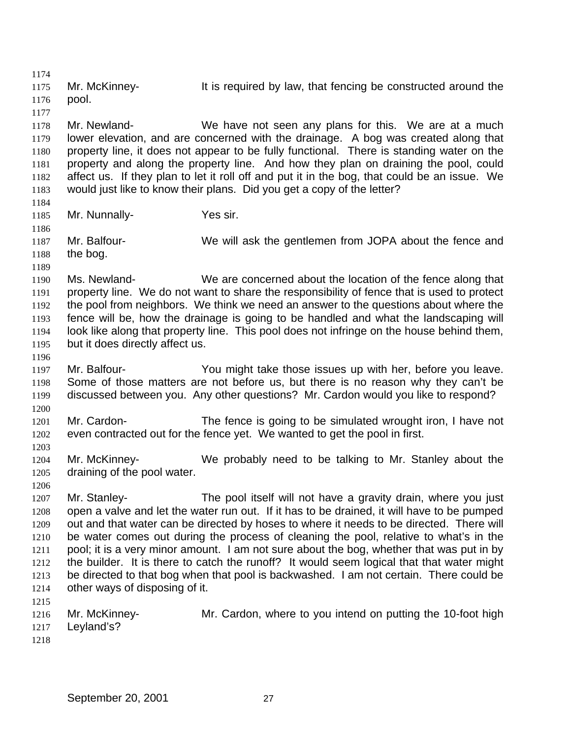1175 Mr. McKinney- It is required by law, that fencing be constructed around the pool. Mr. Newland- We have not seen any plans for this. We are at a much lower elevation, and are concerned with the drainage. A bog was created along that property line, it does not appear to be fully functional. There is standing water on the property and along the property line. And how they plan on draining the pool, could affect us. If they plan to let it roll off and put it in the bog, that could be an issue. We would just like to know their plans. Did you get a copy of the letter? Mr. Nunnally- Yes sir. Mr. Balfour- We will ask the gentlemen from JOPA about the fence and 1188 the bog. Ms. Newland- We are concerned about the location of the fence along that property line. We do not want to share the responsibility of fence that is used to protect the pool from neighbors. We think we need an answer to the questions about where the fence will be, how the drainage is going to be handled and what the landscaping will look like along that property line. This pool does not infringe on the house behind them, but it does directly affect us. Mr. Balfour- You might take those issues up with her, before you leave. Some of those matters are not before us, but there is no reason why they can't be discussed between you. Any other questions? Mr. Cardon would you like to respond? Mr. Cardon- The fence is going to be simulated wrought iron, I have not even contracted out for the fence yet. We wanted to get the pool in first. Mr. McKinney- We probably need to be talking to Mr. Stanley about the draining of the pool water. Mr. Stanley- The pool itself will not have a gravity drain, where you just open a valve and let the water run out. If it has to be drained, it will have to be pumped out and that water can be directed by hoses to where it needs to be directed. There will be water comes out during the process of cleaning the pool, relative to what's in the pool; it is a very minor amount. I am not sure about the bog, whether that was put in by the builder. It is there to catch the runoff? It would seem logical that that water might be directed to that bog when that pool is backwashed. I am not certain. There could be other ways of disposing of it. Mr. McKinney- Mr. Cardon, where to you intend on putting the 10-foot high Leyland's?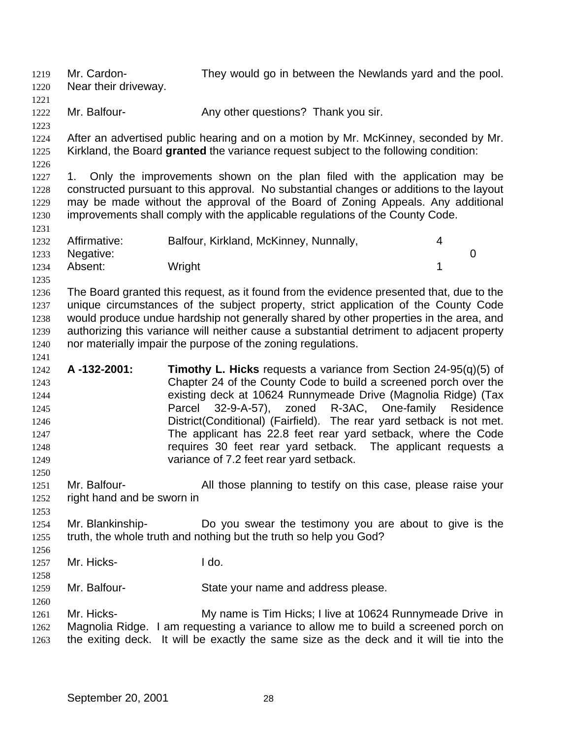Mr. Cardon- They would go in between the Newlands yard and the pool.

 Near their driveway. 

1222 Mr. Balfour- **Any other questions?** Thank you sir.

 After an advertised public hearing and on a motion by Mr. McKinney, seconded by Mr. Kirkland, the Board **granted** the variance request subject to the following condition:

1227 1. Only the improvements shown on the plan filed with the application may be constructed pursuant to this approval. No substantial changes or additions to the layout may be made without the approval of the Board of Zoning Appeals. Any additional improvements shall comply with the applicable regulations of the County Code.

| 1232 | Affirmative: | Balfour, Kirkland, McKinney, Nunnally, |  |
|------|--------------|----------------------------------------|--|
| 1233 | Negative:    |                                        |  |
| 1234 | Absent:      | Wright                                 |  |

 The Board granted this request, as it found from the evidence presented that, due to the unique circumstances of the subject property, strict application of the County Code would produce undue hardship not generally shared by other properties in the area, and authorizing this variance will neither cause a substantial detriment to adjacent property nor materially impair the purpose of the zoning regulations.

- **A -132-2001: Timothy L. Hicks** requests a variance from Section 24-95(q)(5) of Chapter 24 of the County Code to build a screened porch over the existing deck at 10624 Runnymeade Drive (Magnolia Ridge) (Tax Parcel 32-9-A-57), zoned R-3AC, One-family Residence District(Conditional) (Fairfield). The rear yard setback is not met. The applicant has 22.8 feet rear yard setback, where the Code requires 30 feet rear yard setback. The applicant requests a variance of 7.2 feet rear yard setback.
- 1251 Mr. Balfour- All those planning to testify on this case, please raise your right hand and be sworn in
- Mr. Blankinship- Do you swear the testimony you are about to give is the truth, the whole truth and nothing but the truth so help you God?
- Mr. Hicks- I do.
- Mr. Balfour- State your name and address please.
- Mr. Hicks- My name is Tim Hicks; I live at 10624 Runnymeade Drive in Magnolia Ridge. I am requesting a variance to allow me to build a screened porch on the exiting deck. It will be exactly the same size as the deck and it will tie into the